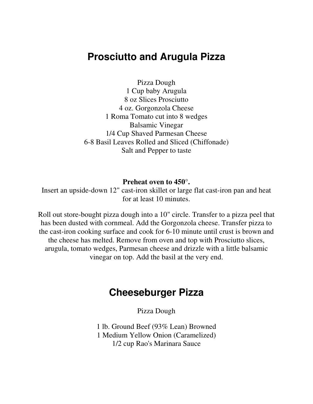## **Prosciutto and Arugula Pizza**

Pizza Dough 1 Cup baby Arugula 8 oz Slices Prosciutto 4 oz. Gorgonzola Cheese 1 Roma Tomato cut into 8 wedges Balsamic Vinegar 1/4 Cup Shaved Parmesan Cheese 6-8 Basil Leaves Rolled and Sliced (Chiffonade) Salt and Pepper to taste

## **Preheat oven to 450°.**

Insert an upside-down 12" cast-iron skillet or large flat cast-iron pan and heat for at least 10 minutes.

Roll out store-bought pizza dough into a 10" circle. Transfer to a pizza peel that has been dusted with cornmeal. Add the Gorgonzola cheese. Transfer pizza to the cast-iron cooking surface and cook for 6-10 minute until crust is brown and the cheese has melted. Remove from oven and top with Prosciutto slices, arugula, tomato wedges, Parmesan cheese and drizzle with a little balsamic vinegar on top. Add the basil at the very end.

## **Cheeseburger Pizza**

Pizza Dough

1 lb. Ground Beef (93% Lean) Browned 1 Medium Yellow Onion (Caramelized) 1/2 cup Rao's Marinara Sauce